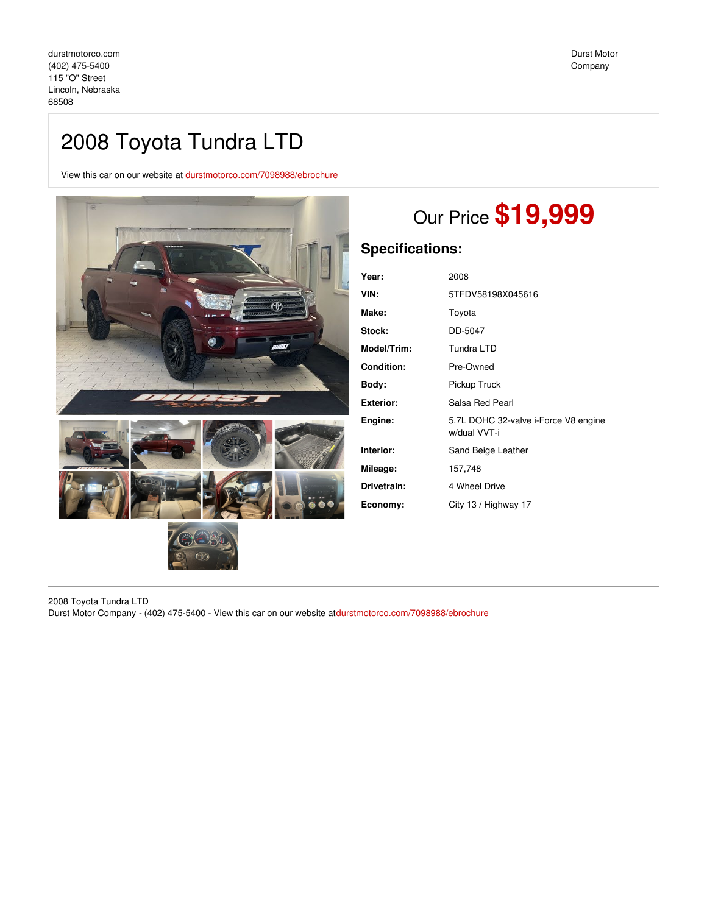View this car on our website at [durstmotorco.com/7098988/ebrochure](https://durstmotorco.com/vehicle/7098988/2008-toyota-tundra-ltd-lincoln-nebraska-68508/7098988/ebrochure)



# Our Price **\$19,999**

# **Specifications:**

| Year:              | 2008                                                 |
|--------------------|------------------------------------------------------|
| VIN:               | 5TFDV58198X045616                                    |
| Make:              | Toyota                                               |
| Stock:             | DD-5047                                              |
| <b>Model/Trim:</b> | Tundra LTD                                           |
| <b>Condition:</b>  | Pre-Owned                                            |
| Body:              | Pickup Truck                                         |
| Exterior:          | Salsa Red Pearl                                      |
| Engine:            | 5.7L DOHC 32-valve i-Force V8 engine<br>w/dual VVT-i |
| Interior:          | Sand Beige Leather                                   |
| Mileage:           | 157,748                                              |
| Drivetrain:        | 4 Wheel Drive                                        |
| Economy:           | City 13 / Highway 17                                 |

2008 Toyota Tundra LTD Durst Motor Company - (402) 475-5400 - View this car on our website at[durstmotorco.com/7098988/ebrochure](https://durstmotorco.com/vehicle/7098988/2008-toyota-tundra-ltd-lincoln-nebraska-68508/7098988/ebrochure)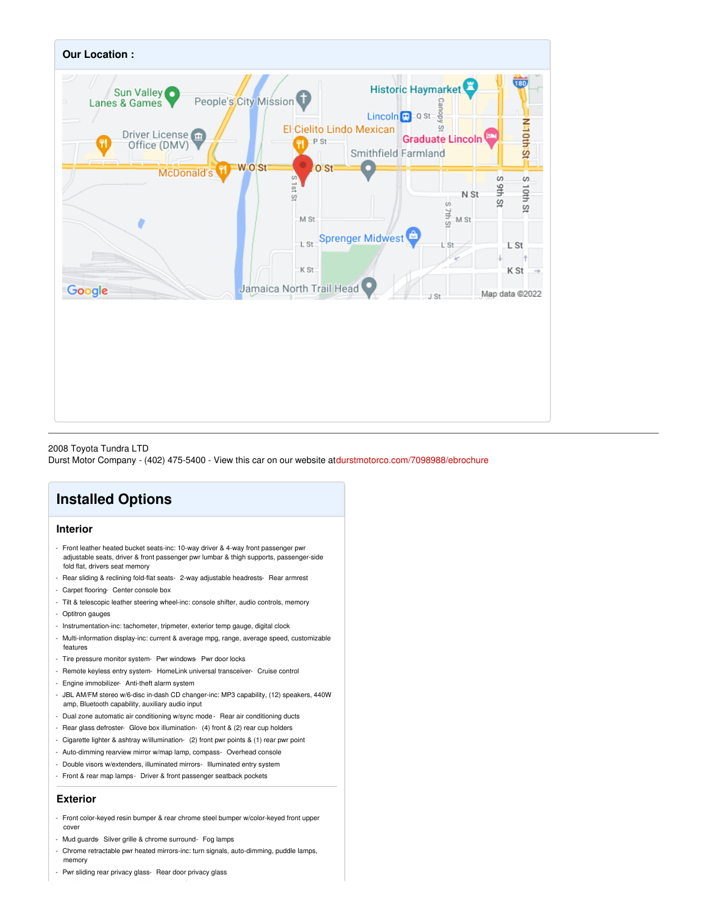

## 2008 Toyota Tundra LTD

Durst Motor Company - (402) 475-5400 - View this car on our website at[durstmotorco.com/7098988/ebrochure](https://durstmotorco.com/vehicle/7098988/2008-toyota-tundra-ltd-lincoln-nebraska-68508/7098988/ebrochure)

# **Installed Options**

# **Interior**

- Front leather heated bucket seats-inc: 10-way driver & 4-way front passenger pwr adjustable seats, driver & front passenger pwr lumbar & thigh supports, passenger-side fold flat, drivers seat memory
- Rear sliding & reclining fold-flat seats- 2-way adjustable headrests- Rear armrest
- Carpet flooring- Center console box
- Tilt & telescopic leather steering wheel-inc: console shifter, audio controls, memory
- Optitron gauges
- Instrumentation-inc: tachometer, tripmeter, exterior temp gauge, digital clock
- Multi-information display-inc: current & average mpg, range, average speed, customizable features
- Tire pressure monitor system- Pwr windows- Pwr door locks
- Remote keyless entry system- HomeLink universal transceiver- Cruise control
- Engine immobilizer- Anti-theft alarm system
- JBL AM/FM stereo w/6-disc in-dash CD changer-inc: MP3 capability, (12) speakers, 440W amp, Bluetooth capability, auxiliary audio input
- Dual zone automatic air conditioning w/sync mode- Rear air conditioning ducts
- Rear glass defroster- Glove box illumination- (4) front & (2) rear cup holders
- Cigarette lighter & ashtray w/illumination- (2) front pwr points & (1) rear pwr point
- Auto-dimming rearview mirror w/map lamp, compass- Overhead console
- Double visors w/extenders, illuminated mirrors- Illuminated entry system
- Front & rear map lamps- Driver & front passenger seatback pockets

### **Exterior**

- Front color-keyed resin bumper & rear chrome steel bumper w/color-keyed front upper cover
- Mud guards- Silver grille & chrome surround- Fog lamps
- Chrome retractable pwr heated mirrors-inc: turn signals, auto-dimming, puddle lamps, memory
- Pwr sliding rear privacy glass- Rear door privacy glass